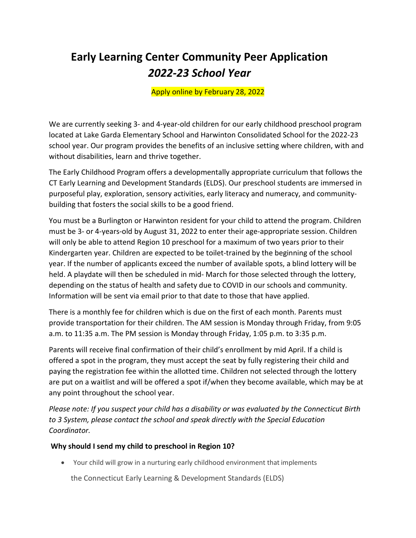# **Early Learning Center Community Peer Application**  *2022-23 School Year*

Apply online by February 28, 2022

We are currently seeking 3- and 4-year-old children for our early childhood preschool program located at Lake Garda Elementary School and Harwinton Consolidated School for the 2022-23 school year. Our program provides the benefits of an inclusive setting where children, with and without disabilities, learn and thrive together.

The Early Childhood Program offers a developmentally appropriate curriculum that follows the CT Early Learning and Development Standards (ELDS). Our preschool students are immersed in purposeful play, exploration, sensory activities, early literacy and numeracy, and communitybuilding that fosters the social skills to be a good friend.

You must be a Burlington or Harwinton resident for your child to attend the program. Children must be 3- or 4-years-old by August 31, 2022 to enter their age-appropriate session. Children will only be able to attend Region 10 preschool for a maximum of two years prior to their Kindergarten year. Children are expected to be toilet-trained by the beginning of the school year. If the number of applicants exceed the number of available spots, a blind lottery will be held. A playdate will then be scheduled in mid- March for those selected through the lottery, depending on the status of health and safety due to COVID in our schools and community. Information will be sent via email prior to that date to those that have applied.

There is a monthly fee for children which is due on the first of each month. Parents must provide transportation for their children. The AM session is Monday through Friday, from 9:05 a.m. to 11:35 a.m. The PM session is Monday through Friday, 1:05 p.m. to 3:35 p.m.

Parents will receive final confirmation of their child's enrollment by mid April. If a child is offered a spot in the program, they must accept the seat by fully registering their child and paying the registration fee within the allotted time. Children not selected through the lottery are put on a waitlist and will be offered a spot if/when they become available, which may be at any point throughout the school year.

*Please note: If you suspect your child has a disability or was evaluated by the Connecticut Birth to 3 System, please contact the school and speak directly with the Special Education Coordinator.*

## **Why should I send my child to preschool in Region 10?**

• Your child will grow in a nurturing early childhood environment that implements

the Connecticut Early Learning & Development Standards (ELDS)